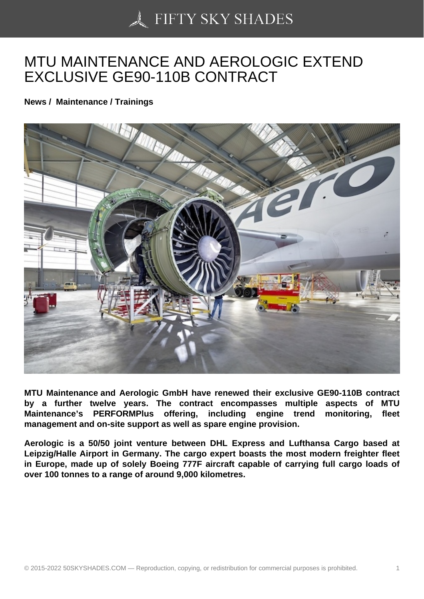## [MTU MAINTENANCE](https://50skyshades.com) AND AEROLOGIC EXTEND EXCLUSIVE GE90-110B CONTRACT

News / Maintenance / Trainings

MTU Maintenance and Aerologic GmbH have renewed their exclusive GE90-110B contract by a further twelve years. The contract encompasses multiple aspects of MTU Maintenance's PERFORMPlus offering, including engine trend monitoring, fleet management and on-site support as well as spare engine provision.

Aerologic is a 50/50 joint venture between DHL Express and Lufthansa Cargo based at Leipzig/Halle Airport in Germany. The cargo expert boasts the most modern freighter fleet in Europe, made up of solely Boeing 777F aircraft capable of carrying full cargo loads of over 100 tonnes to a range of around 9,000 kilometres.